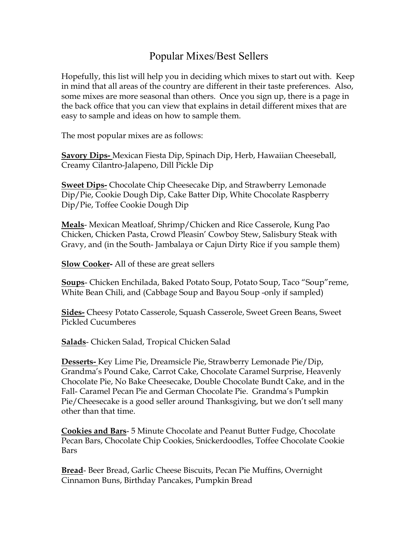## Popular Mixes/Best Sellers

Hopefully, this list will help you in deciding which mixes to start out with. Keep in mind that all areas of the country are different in their taste preferences. Also, some mixes are more seasonal than others. Once you sign up, there is a page in the back office that you can view that explains in detail different mixes that are easy to sample and ideas on how to sample them.

The most popular mixes are as follows:

**Savory Dips-** Mexican Fiesta Dip, Spinach Dip, Herb, Hawaiian Cheeseball, Creamy Cilantro-Jalapeno, Dill Pickle Dip

**Sweet Dips-** Chocolate Chip Cheesecake Dip, and Strawberry Lemonade Dip/Pie, Cookie Dough Dip, Cake Batter Dip, White Chocolate Raspberry Dip/Pie, Toffee Cookie Dough Dip

**Meals**- Mexican Meatloaf, Shrimp/Chicken and Rice Casserole, Kung Pao Chicken, Chicken Pasta, Crowd Pleasin' Cowboy Stew, Salisbury Steak with Gravy, and (in the South- Jambalaya or Cajun Dirty Rice if you sample them)

**Slow Cooker-** All of these are great sellers

**Soups**- Chicken Enchilada, Baked Potato Soup, Potato Soup, Taco "Soup"reme, White Bean Chili, and (Cabbage Soup and Bayou Soup -only if sampled)

**Sides-** Cheesy Potato Casserole, Squash Casserole, Sweet Green Beans, Sweet Pickled Cucumberes

**Salads**- Chicken Salad, Tropical Chicken Salad

**Desserts-** Key Lime Pie, Dreamsicle Pie, Strawberry Lemonade Pie/Dip, Grandma's Pound Cake, Carrot Cake, Chocolate Caramel Surprise, Heavenly Chocolate Pie, No Bake Cheesecake, Double Chocolate Bundt Cake, and in the Fall- Caramel Pecan Pie and German Chocolate Pie. Grandma's Pumpkin Pie/Cheesecake is a good seller around Thanksgiving, but we don't sell many other than that time.

**Cookies and Bars**- 5 Minute Chocolate and Peanut Butter Fudge, Chocolate Pecan Bars, Chocolate Chip Cookies, Snickerdoodles, Toffee Chocolate Cookie Bars

**Bread**- Beer Bread, Garlic Cheese Biscuits, Pecan Pie Muffins, Overnight Cinnamon Buns, Birthday Pancakes, Pumpkin Bread